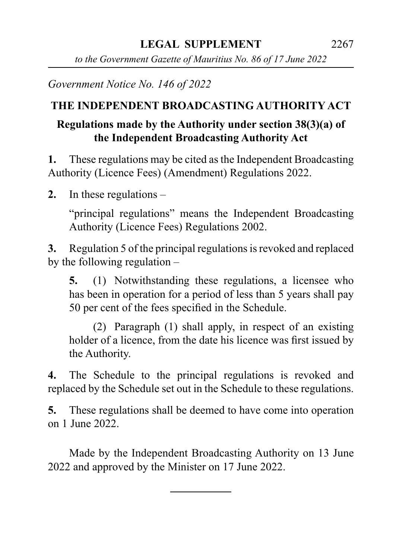*to the Government Gazette of Mauritius No. 86 of 17 June 2022*

*Government Notice No. 146 of 2022*

## **THE INDEPENDENT BROADCASTING AUTHORITY ACT**

## **Regulations made by the Authority under section 38(3)(a) of the Independent Broadcasting Authority Act**

**1.** These regulations may be cited as the Independent Broadcasting Authority (Licence Fees) (Amendment) Regulations 2022.

**2.** In these regulations –

"principal regulations" means the Independent Broadcasting Authority (Licence Fees) Regulations 2002.

**3.** Regulation 5 of the principal regulations is revoked and replaced by the following regulation –

**5.** (1) Notwithstanding these regulations, a licensee who has been in operation for a period of less than 5 years shall pay 50 per cent of the fees specified in the Schedule.

(2) Paragraph (1) shall apply, in respect of an existing holder of a licence, from the date his licence was first issued by the Authority.

**4.** The Schedule to the principal regulations is revoked and replaced by the Schedule set out in the Schedule to these regulations.

**5.** These regulations shall be deemed to have come into operation on 1 June 2022.

Made by the Independent Broadcasting Authority on 13 June 2022 and approved by the Minister on 17 June 2022.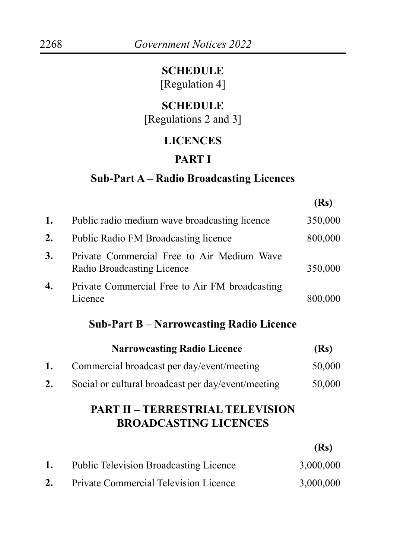#### **SCHEDULE**

[Regulation 4]

# **SCHEDULE**

[Regulations 2 and 3]

## **LICENCES**

#### **PART I**

#### **Sub-Part A – Radio Broadcasting Licences**

| Public radio medium wave broadcasting licence                            | 350,000 |
|--------------------------------------------------------------------------|---------|
| <b>Public Radio FM Broadcasting licence</b>                              | 800,000 |
| Private Commercial Free to Air Medium Wave<br>Radio Broadcasting Licence | 350,000 |
| Private Commercial Free to Air FM broadcasting<br>Licence                | 800,000 |
|                                                                          |         |

#### **Sub-Part B – Narrowcasting Radio Licence**

|    | <b>Narrowcasting Radio Licence</b>                 | (Rs)   |
|----|----------------------------------------------------|--------|
| 1. | Commercial broadcast per day/event/meeting         | 50,000 |
| 2. | Social or cultural broadcast per day/event/meeting | 50,000 |

#### **PART II – TERRESTRIAL TELEVISION BROADCASTING LICENCES**

**(Rs)**

**(Rs)**

| <b>Public Television Broadcasting Licence</b> | 3,000,000 |
|-----------------------------------------------|-----------|
| <b>Private Commercial Television Licence</b>  | 3,000,000 |